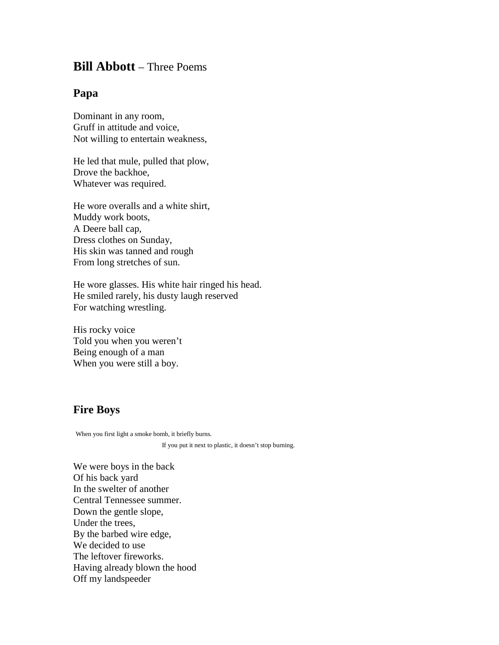## **Bill Abbott** – Three Poems

## **Papa**

Dominant in any room, Gruff in attitude and voice, Not willing to entertain weakness,

He led that mule, pulled that plow, Drove the backhoe, Whatever was required.

He wore overalls and a white shirt, Muddy work boots, A Deere ball cap, Dress clothes on Sunday, His skin was tanned and rough From long stretches of sun.

He wore glasses. His white hair ringed his head. He smiled rarely, his dusty laugh reserved For watching wrestling.

His rocky voice Told you when you weren't Being enough of a man When you were still a boy.

## **Fire Boys**

When you first light a smoke bomb, it briefly burns.

If you put it next to plastic, it doesn't stop burning.

We were boys in the back Of his back yard In the swelter of another Central Tennessee summer. Down the gentle slope, Under the trees, By the barbed wire edge, We decided to use The leftover fireworks. Having already blown the hood Off my landspeeder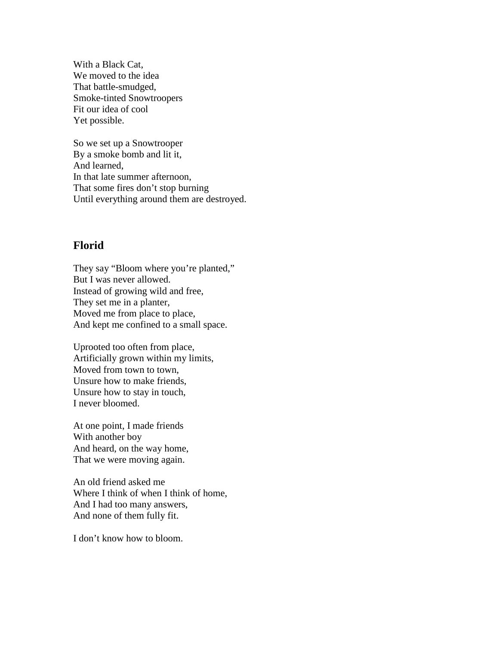With a Black Cat, We moved to the idea That battle-smudged, Smoke-tinted Snowtroopers Fit our idea of cool Yet possible.

So we set up a Snowtrooper By a smoke bomb and lit it, And learned, In that late summer afternoon, That some fires don't stop burning Until everything around them are destroyed.

## **Florid**

They say "Bloom where you're planted," But I was never allowed. Instead of growing wild and free, They set me in a planter, Moved me from place to place, And kept me confined to a small space.

Uprooted too often from place, Artificially grown within my limits, Moved from town to town, Unsure how to make friends, Unsure how to stay in touch, I never bloomed.

At one point, I made friends With another boy And heard, on the way home, That we were moving again.

An old friend asked me Where I think of when I think of home, And I had too many answers, And none of them fully fit.

I don't know how to bloom.